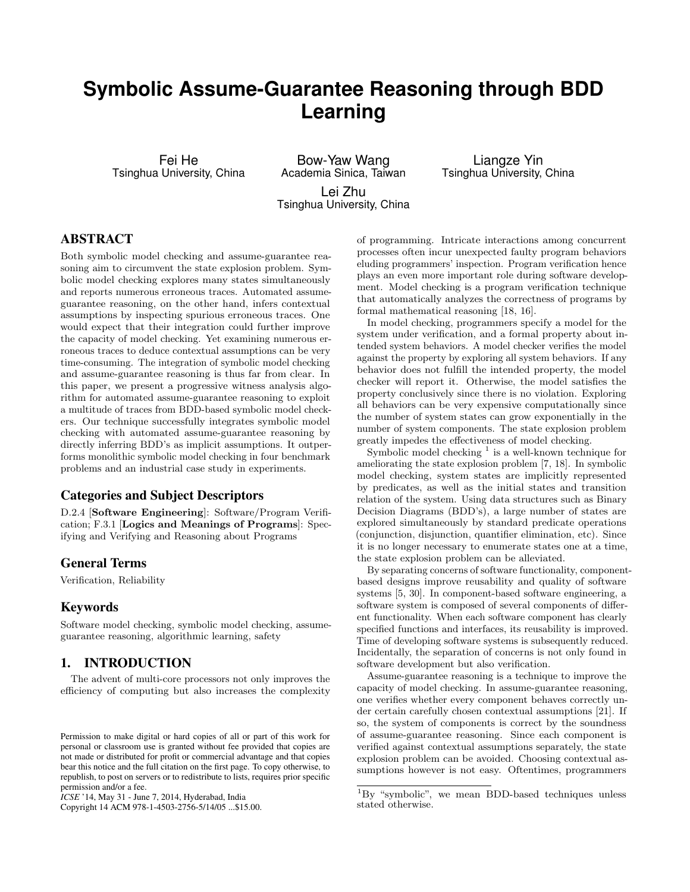# Symbolic Assume-Guarantee Reasoning through BDD Learning

Fei He Tsinghua University, China

Bow-Yaw Wang Academia Sinica, Taiwan Lei Zhu Tsinghua University, China

Liangze Yin Tsinghua University, China

## ABSTRACT

Both symbolic model checking and assume-guarantee reasoning aim to circumvent the state explosion problem. Symbolic model checking explores many states simultaneously and reports numerous erroneous traces. Automated assumeguarantee reasoning, on the other hand, infers contextual assumptions by inspecting spurious erroneous traces. One would expect that their integration could further improve the capacity of model checking. Yet examining numerous erroneous traces to deduce contextual assumptions can be very time-consuming. The integration of symbolic model checking and assume-guarantee reasoning is thus far from clear. In this paper, we present a progressive witness analysis algorithm for automated assume-guarantee reasoning to exploit a multitude of traces from BDD-based symbolic model checkers. Our technique successfully integrates symbolic model checking with automated assume-guarantee reasoning by directly inferring BDD's as implicit assumptions. It outperforms monolithic symbolic model checking in four benchmark problems and an industrial case study in experiments.

## Categories and Subject Descriptors

D.2.4 [Software Engineering]: Software/Program Verification; F.3.1 [Logics and Meanings of Programs]: Specifying and Verifying and Reasoning about Programs

#### General Terms

Verification, Reliability

## Keywords

Software model checking, symbolic model checking, assumeguarantee reasoning, algorithmic learning, safety

## 1. INTRODUCTION

The advent of multi-core processors not only improves the efficiency of computing but also increases the complexity

Copyright 14 ACM 978-1-4503-2756-5/14/05 ...\$15.00.

of programming. Intricate interactions among concurrent processes often incur unexpected faulty program behaviors eluding programmers' inspection. Program verification hence plays an even more important role during software development. Model checking is a program verification technique that automatically analyzes the correctness of programs by formal mathematical reasoning [18, 16].

In model checking, programmers specify a model for the system under verification, and a formal property about intended system behaviors. A model checker verifies the model against the property by exploring all system behaviors. If any behavior does not fulfill the intended property, the model checker will report it. Otherwise, the model satisfies the property conclusively since there is no violation. Exploring all behaviors can be very expensive computationally since the number of system states can grow exponentially in the number of system components. The state explosion problem greatly impedes the effectiveness of model checking.

Symbolic model checking  $<sup>1</sup>$  is a well-known technique for</sup> ameliorating the state explosion problem [7, 18]. In symbolic model checking, system states are implicitly represented by predicates, as well as the initial states and transition relation of the system. Using data structures such as Binary Decision Diagrams (BDD's), a large number of states are explored simultaneously by standard predicate operations (conjunction, disjunction, quantifier elimination, etc). Since it is no longer necessary to enumerate states one at a time, the state explosion problem can be alleviated.

By separating concerns of software functionality, componentbased designs improve reusability and quality of software systems [5, 30]. In component-based software engineering, a software system is composed of several components of different functionality. When each software component has clearly specified functions and interfaces, its reusability is improved. Time of developing software systems is subsequently reduced. Incidentally, the separation of concerns is not only found in software development but also verification.

Assume-guarantee reasoning is a technique to improve the capacity of model checking. In assume-guarantee reasoning, one verifies whether every component behaves correctly under certain carefully chosen contextual assumptions [21]. If so, the system of components is correct by the soundness of assume-guarantee reasoning. Since each component is verified against contextual assumptions separately, the state explosion problem can be avoided. Choosing contextual assumptions however is not easy. Oftentimes, programmers

Permission to make digital or hard copies of all or part of this work for personal or classroom use is granted without fee provided that copies are not made or distributed for profit or commercial advantage and that copies bear this notice and the full citation on the first page. To copy otherwise, to republish, to post on servers or to redistribute to lists, requires prior specific permission and/or a fee.

 $ICSE$ '14, May 31 - June 7, 2014, Hyderabad, India

 ${}^{1}_{1}$ By "symbolic", we mean BDD-based techniques unless stated otherwise.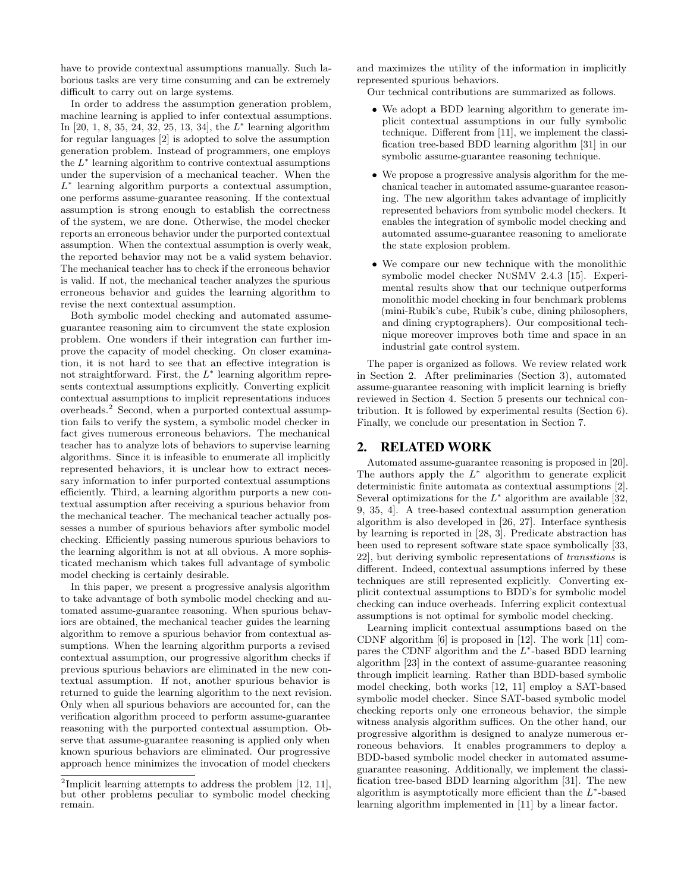have to provide contextual assumptions manually. Such laborious tasks are very time consuming and can be extremely difficult to carry out on large systems.

In order to address the assumption generation problem, machine learning is applied to infer contextual assumptions. In [20, 1, 8, 35, 24, 32, 25, 13, 34], the  $L^*$  learning algorithm for regular languages [2] is adopted to solve the assumption generation problem. Instead of programmers, one employs the  $L^*$  learning algorithm to contrive contextual assumptions under the supervision of a mechanical teacher. When the  $L^*$  learning algorithm purports a contextual assumption, one performs assume-guarantee reasoning. If the contextual assumption is strong enough to establish the correctness of the system, we are done. Otherwise, the model checker reports an erroneous behavior under the purported contextual assumption. When the contextual assumption is overly weak, the reported behavior may not be a valid system behavior. The mechanical teacher has to check if the erroneous behavior is valid. If not, the mechanical teacher analyzes the spurious erroneous behavior and guides the learning algorithm to revise the next contextual assumption.

Both symbolic model checking and automated assumeguarantee reasoning aim to circumvent the state explosion problem. One wonders if their integration can further improve the capacity of model checking. On closer examination, it is not hard to see that an effective integration is not straightforward. First, the  $L^*$  learning algorithm represents contextual assumptions explicitly. Converting explicit contextual assumptions to implicit representations induces overheads.2 Second, when a purported contextual assumption fails to verify the system, a symbolic model checker in fact gives numerous erroneous behaviors. The mechanical teacher has to analyze lots of behaviors to supervise learning algorithms. Since it is infeasible to enumerate all implicitly represented behaviors, it is unclear how to extract necessary information to infer purported contextual assumptions efficiently. Third, a learning algorithm purports a new contextual assumption after receiving a spurious behavior from the mechanical teacher. The mechanical teacher actually possesses a number of spurious behaviors after symbolic model checking. Efficiently passing numerous spurious behaviors to the learning algorithm is not at all obvious. A more sophisticated mechanism which takes full advantage of symbolic model checking is certainly desirable.

In this paper, we present a progressive analysis algorithm to take advantage of both symbolic model checking and automated assume-guarantee reasoning. When spurious behaviors are obtained, the mechanical teacher guides the learning algorithm to remove a spurious behavior from contextual assumptions. When the learning algorithm purports a revised contextual assumption, our progressive algorithm checks if previous spurious behaviors are eliminated in the new contextual assumption. If not, another spurious behavior is returned to guide the learning algorithm to the next revision. Only when all spurious behaviors are accounted for, can the verification algorithm proceed to perform assume-guarantee reasoning with the purported contextual assumption. Observe that assume-guarantee reasoning is applied only when known spurious behaviors are eliminated. Our progressive approach hence minimizes the invocation of model checkers and maximizes the utility of the information in implicitly represented spurious behaviors.

Our technical contributions are summarized as follows.

- We adopt a BDD learning algorithm to generate implicit contextual assumptions in our fully symbolic technique. Different from [11], we implement the classification tree-based BDD learning algorithm [31] in our symbolic assume-guarantee reasoning technique.
- We propose a progressive analysis algorithm for the mechanical teacher in automated assume-guarantee reasoning. The new algorithm takes advantage of implicitly represented behaviors from symbolic model checkers. It enables the integration of symbolic model checking and automated assume-guarantee reasoning to ameliorate the state explosion problem.
- We compare our new technique with the monolithic symbolic model checker NuSMV 2.4.3 [15]. Experimental results show that our technique outperforms monolithic model checking in four benchmark problems (mini-Rubik's cube, Rubik's cube, dining philosophers, and dining cryptographers). Our compositional technique moreover improves both time and space in an industrial gate control system.

The paper is organized as follows. We review related work in Section 2. After preliminaries (Section 3), automated assume-guarantee reasoning with implicit learning is briefly reviewed in Section 4. Section 5 presents our technical contribution. It is followed by experimental results (Section 6). Finally, we conclude our presentation in Section 7.

#### 2. RELATED WORK

Automated assume-guarantee reasoning is proposed in [20]. The authors apply the  $L^*$  algorithm to generate explicit deterministic finite automata as contextual assumptions [2]. Several optimizations for the  $L^*$  algorithm are available [32, 9, 35, 4]. A tree-based contextual assumption generation algorithm is also developed in [26, 27]. Interface synthesis by learning is reported in [28, 3]. Predicate abstraction has been used to represent software state space symbolically [33, 22], but deriving symbolic representations of transitions is different. Indeed, contextual assumptions inferred by these techniques are still represented explicitly. Converting explicit contextual assumptions to BDD's for symbolic model checking can induce overheads. Inferring explicit contextual assumptions is not optimal for symbolic model checking.

Learning implicit contextual assumptions based on the CDNF algorithm [6] is proposed in [12]. The work [11] compares the CDNF algorithm and the  $L^*$ -based BDD learning algorithm [23] in the context of assume-guarantee reasoning through implicit learning. Rather than BDD-based symbolic model checking, both works [12, 11] employ a SAT-based symbolic model checker. Since SAT-based symbolic model checking reports only one erroneous behavior, the simple witness analysis algorithm suffices. On the other hand, our progressive algorithm is designed to analyze numerous erroneous behaviors. It enables programmers to deploy a BDD-based symbolic model checker in automated assumeguarantee reasoning. Additionally, we implement the classification tree-based BDD learning algorithm [31]. The new algorithm is asymptotically more efficient than the  $L^*$ -based learning algorithm implemented in [11] by a linear factor.

<sup>&</sup>lt;sup>2</sup>Implicit learning attempts to address the problem  $[12, 11]$ , but other problems peculiar to symbolic model checking remain.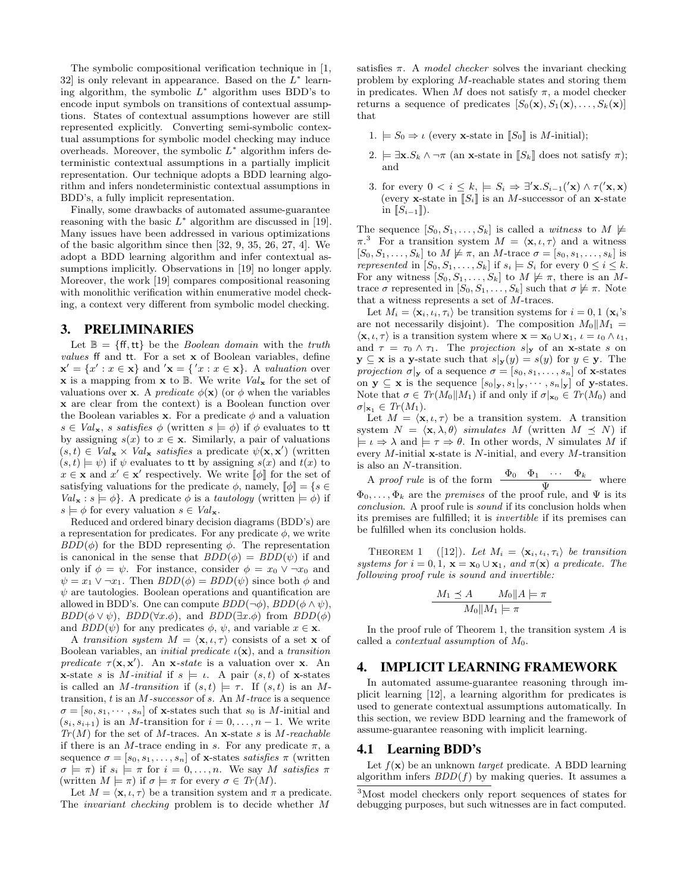The symbolic compositional verification technique in [1, 32] is only relevant in appearance. Based on the  $L^*$  learning algorithm, the symbolic  $L^*$  algorithm uses BDD's to encode input symbols on transitions of contextual assumptions. States of contextual assumptions however are still represented explicitly. Converting semi-symbolic contextual assumptions for symbolic model checking may induce overheads. Moreover, the symbolic  $L^*$  algorithm infers deterministic contextual assumptions in a partially implicit representation. Our technique adopts a BDD learning algorithm and infers nondeterministic contextual assumptions in BDD's, a fully implicit representation.

Finally, some drawbacks of automated assume-guarantee reasoning with the basic  $L^*$  algorithm are discussed in [19]. Many issues have been addressed in various optimizations of the basic algorithm since then [32, 9, 35, 26, 27, 4]. We adopt a BDD learning algorithm and infer contextual assumptions implicitly. Observations in [19] no longer apply. Moreover, the work [19] compares compositional reasoning with monolithic verification within enumerative model checking, a context very different from symbolic model checking.

#### 3. PRELIMINARIES

Let  $\mathbb{B} = \{ \text{ff, tt} \}$  be the *Boolean domain* with the truth values ff and tt. For a set x of Boolean variables, define  $\mathbf{x}' = \{x' : x \in \mathbf{x}\}\$ and  $\mathbf{x} = \{x' : x \in \mathbf{x}\}\$ . A valuation over **x** is a mapping from **x** to  $\mathbb{B}$ . We write  $Val_{\mathbf{x}}$  for the set of valuations over **x**. A *predicate*  $\phi(\mathbf{x})$  (or  $\phi$  when the variables x are clear from the context) is a Boolean function over the Boolean variables x. For a predicate  $\phi$  and a valuation  $s \in Val_{\mathbf{x}}$ , s satisfies  $\phi$  (written  $s \models \phi$ ) if  $\phi$  evaluates to tt by assigning  $s(x)$  to  $x \in \mathbf{x}$ . Similarly, a pair of valuations  $(s,t) \in Val_{\mathbf{x}} \times Val_{\mathbf{x}} \text{ satisfies a predicate } \psi(\mathbf{x}, \mathbf{x}') \text{ (written)}$  $(s, t) \models \psi$  if  $\psi$  evaluates to tt by assigning  $s(x)$  and  $t(x)$  to  $x \in \mathbf{x}$  and  $x' \in \mathbf{x}'$  respectively. We write  $[\![\phi]\!]$  for the set of satisfying valuations for the predicate  $\phi$ , namely,  $[\![\phi]\!] = \{s \in$  $Val_{\mathbf{x}} : s \models \phi$ . A predicate  $\phi$  is a tautology (written  $\models \phi$ ) if  $s \models \phi$  for every valuation  $s \in Val_{\mathbf{x}}$ .

Reduced and ordered binary decision diagrams (BDD's) are a representation for predicates. For any predicate  $\phi$ , we write  $BDD(\phi)$  for the BDD representing  $\phi$ . The representation is canonical in the sense that  $BDD(\phi) = BDD(\psi)$  if and only if  $\phi = \psi$ . For instance, consider  $\phi = x_0 \vee \neg x_0$  and  $\psi = x_1 \vee \neg x_1$ . Then  $BDD(\phi) = BDD(\psi)$  since both  $\phi$  and  $\psi$  are tautologies. Boolean operations and quantification are allowed in BDD's. One can compute  $BDD(\neg \phi)$ ,  $BDD(\phi \land \psi)$ ,  $BDD(\phi \vee \psi)$ ,  $BDD(\forall x.\phi)$ , and  $BDD(\exists x.\phi)$  from  $BDD(\phi)$ and  $BDD(\psi)$  for any predicates  $\phi$ ,  $\psi$ , and variable  $x \in \mathbf{x}$ .

A transition system  $M = \langle \mathbf{x}, t, \tau \rangle$  consists of a set **x** of Boolean variables, an *initial predicate*  $\iota(\mathbf{x})$ , and a *transition* predicate  $\tau(\mathbf{x}, \mathbf{x}')$ . An  $\mathbf{x}$ -state is a valuation over  $\mathbf{x}$ . An **x**-state s is M-initial if  $s \models \iota$ . A pair  $(s, t)$  of **x**-states is called an *M*-transition if  $(s,t) \models \tau$ . If  $(s,t)$  is an *M*transition,  $t$  is an  $M$ -successor of  $s$ . An  $M$ -trace is a sequence  $\sigma = [s_0, s_1, \dots, s_n]$  of **x**-states such that  $s_0$  is M-initial and  $(s_i, s_{i+1})$  is an M-transition for  $i = 0, \ldots, n-1$ . We write  $Tr(M)$  for the set of M-traces. An x-state s is M-reachable if there is an M-trace ending in s. For any predicate  $\pi$ , a sequence  $\sigma = [s_0, s_1, \ldots, s_n]$  of x-states satisfies  $\pi$  (written  $\sigma \models \pi$ ) if  $s_i \models \pi$  for  $i = 0, \ldots, n$ . We say M satisfies  $\pi$ (written  $M \models \pi$ ) if  $\sigma \models \pi$  for every  $\sigma \in Tr(M)$ .

Let  $M = \langle \mathbf{x}, \iota, \tau \rangle$  be a transition system and  $\pi$  a predicate. The invariant checking problem is to decide whether M

satisfies  $\pi$ . A *model checker* solves the invariant checking problem by exploring M-reachable states and storing them in predicates. When M does not satisfy  $\pi$ , a model checker returns a sequence of predicates  $[S_0(\mathbf{x}), S_1(\mathbf{x}), \ldots, S_k(\mathbf{x})]$ that

- 1.  $\models S_0 \Rightarrow \iota$  (every **x**-state in [S<sub>0</sub>] is M-initial);
- 2.  $\models \exists \mathbf{x}. S_k \land \neg \pi$  (an **x**-state in  $[S_k]$  does not satisfy  $\pi$ ); and
- 3. for every  $0 < i \leq k, \models S_i \Rightarrow \exists' \mathbf{x}. S_{i-1}(\mathbf{x}) \wedge \tau(\mathbf{x}, \mathbf{x})$ (every **x**-state in  $\llbracket S_i \rrbracket$  is an M-successor of an **x**-state in  $[[S_{i-1}]]$ ).

The sequence  $[S_0, S_1, \ldots, S_k]$  is called a *witness* to  $M \not\models$  $\pi$ <sup>3</sup>. For a transition system  $M = \langle \mathbf{x}, t, \tau \rangle$  and a witness  $[S_0, S_1, \ldots, S_k]$  to  $M \not\models \pi$ , an M-trace  $\sigma = [s_0, s_1, \ldots, s_k]$  is represented in  $[S_0, S_1, \ldots, S_k]$  if  $s_i \models S_i$  for every  $0 \le i \le k$ . For any witness  $[S_0, S_1, \ldots, S_k]$  to  $M \not\models \pi$ , there is an Mtrace  $\sigma$  represented in  $[S_0, S_1, \ldots, S_k]$  such that  $\sigma \not\models \pi$ . Note that a witness represents a set of M-traces.

Let  $M_i = \langle \mathbf{x}_i, \iota_i, \tau_i \rangle$  be transition systems for  $i = 0, 1 \langle \mathbf{x}_i \rangle$ are not necessarily disjoint). The composition  $M_0||M_1 =$  $\langle \mathbf{x}, \iota, \tau \rangle$  is a transition system where  $\mathbf{x} = \mathbf{x}_0 \cup \mathbf{x}_1, \iota = \iota_0 \wedge \iota_1$ , and  $\tau = \tau_0 \wedge \tau_1$ . The projection s<sub>y</sub> of an x-state s on  $y \subseteq x$  is a y-state such that  $s|_y(y) = s(y)$  for  $y \in y$ . The projection  $\sigma|_{\mathbf{y}}$  of a sequence  $\sigma = [s_0, s_1, \ldots, s_n]$  of **x**-states on  $\mathbf{y} \subseteq \mathbf{x}$  is the sequence  $[s_0|_{\mathbf{y}}, s_1|_{\mathbf{y}}, \cdots, s_n|_{\mathbf{y}}]$  of y-states. Note that  $\sigma \in Tr(M_0||M_1)$  if and only if  $\sigma|_{\mathbf{x}_0} \in Tr(M_0)$  and  $\sigma|_{\mathbf{x}_1} \in Tr(M_1).$ 

Let  $M = \langle \mathbf{x}, \iota, \tau \rangle$  be a transition system. A transition system  $N = \langle \mathbf{x}, \lambda, \theta \rangle$  simulates M (written  $M \prec N$ ) if  $\models \iota \Rightarrow \lambda$  and  $\models \tau \Rightarrow \theta$ . In other words, N simulates M if every  $M$ -initial **x**-state is  $N$ -initial, and every  $M$ -transition is also an N-transition.

A proof rule is of the form  $\frac{\Phi_0 \quad \Phi_1 \quad \cdots \quad \Phi_k}{\Psi}$  where  $\Phi_0, \ldots, \Phi_k$  are the premises of the proof rule, and  $\Psi$  is its conclusion. A proof rule is sound if its conclusion holds when its premises are fulfilled; it is invertible if its premises can be fulfilled when its conclusion holds.

THEOREM 1 ([12]). Let  $M_i = \langle \mathbf{x}_i, \iota_i, \tau_i \rangle$  be transition systems for  $i = 0, 1$ ,  $\mathbf{x} = \mathbf{x}_0 \cup \mathbf{x}_1$ , and  $\pi(\mathbf{x})$  a predicate. The following proof rule is sound and invertible:

$$
\frac{M_1 \preceq A \qquad M_0 \|A \models \pi}{M_0 \|M_1 \models \pi}
$$

In the proof rule of Theorem 1, the transition system  $A$  is called a *contextual assumption* of  $M_0$ .

#### 4. IMPLICIT LEARNING FRAMEWORK

In automated assume-guarantee reasoning through implicit learning [12], a learning algorithm for predicates is used to generate contextual assumptions automatically. In this section, we review BDD learning and the framework of assume-guarantee reasoning with implicit learning.

## 4.1 Learning BDD's

Let  $f(\mathbf{x})$  be an unknown *target* predicate. A BDD learning algorithm infers  $BDD(f)$  by making queries. It assumes a

<sup>3</sup>Most model checkers only report sequences of states for debugging purposes, but such witnesses are in fact computed.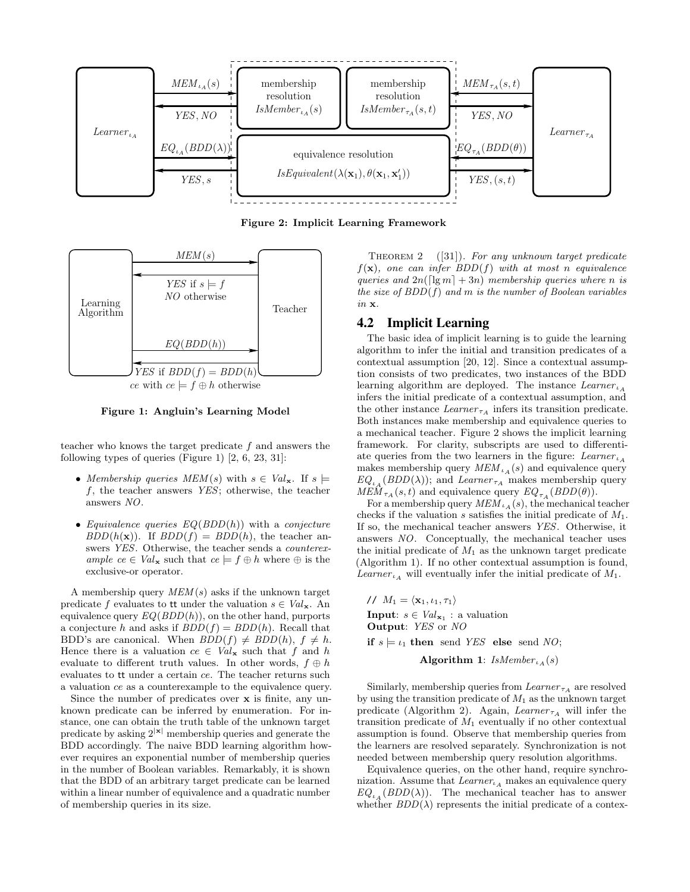

Figure 2: Implicit Learning Framework



ce with  $ce \models f \oplus h$  otherwise

Figure 1: Angluin's Learning Model

teacher who knows the target predicate f and answers the following types of queries (Figure 1) [2, 6, 23, 31]:

- Membership queries  $MEM(s)$  with  $s \in Val_{\mathbf{x}}$ . If  $s \models$ f, the teacher answers YES; otherwise, the teacher answers NO.
- Equivalence queries  $EQ(BDD(h))$  with a conjecture  $BDD(h(\mathbf{x}))$ . If  $BDD(f) = BDD(h)$ , the teacher answers YES. Otherwise, the teacher sends a counterexample  $ce \in Val_{\mathbf{x}}$  such that  $ce \models f \oplus h$  where  $\oplus$  is the exclusive-or operator.

A membership query  $MEM(s)$  asks if the unknown target predicate f evaluates to tt under the valuation  $s \in Val_{\mathbf{x}}$ . An equivalence query  $EQ(BDD(h))$ , on the other hand, purports a conjecture h and asks if  $BDD(f) = BDD(h)$ . Recall that BDD's are canonical. When  $BDD(f) \neq BDD(h)$ ,  $f \neq h$ . Hence there is a valuation  $ce \in Val_{\mathbf{x}}$  such that f and h evaluate to different truth values. In other words,  $f \oplus h$ evaluates to tt under a certain ce. The teacher returns such a valuation ce as a counterexample to the equivalence query.

Since the number of predicates over x is finite, any unknown predicate can be inferred by enumeration. For instance, one can obtain the truth table of the unknown target predicate by asking  $2^{|x|}$  membership queries and generate the BDD accordingly. The naive BDD learning algorithm however requires an exponential number of membership queries in the number of Boolean variables. Remarkably, it is shown that the BDD of an arbitrary target predicate can be learned within a linear number of equivalence and a quadratic number of membership queries in its size.

THEOREM 2  $([31])$ . For any unknown target predicate  $f(\mathbf{x})$ , one can infer BDD(f) with at most n equivalence queries and  $2n(\lceil \lg m \rceil + 3n)$  membership queries where n is the size of  $BDD(f)$  and m is the number of Boolean variables in x.

## 4.2 Implicit Learning

The basic idea of implicit learning is to guide the learning algorithm to infer the initial and transition predicates of a contextual assumption [20, 12]. Since a contextual assumption consists of two predicates, two instances of the BDD learning algorithm are deployed. The instance  $Learner<sub>l</sub>$ infers the initial predicate of a contextual assumption, and the other instance  $Learner_{\tau_A}$  infers its transition predicate. Both instances make membership and equivalence queries to a mechanical teacher. Figure 2 shows the implicit learning framework. For clarity, subscripts are used to differentiate queries from the two learners in the figure:  $Learner<sub>lA</sub>$ makes membership query  $MEM_{\iota_A}(s)$  and equivalence query  $EQ_{\iota_A}(BDD(\lambda))$ ; and Learner<sub>τA</sub> makes membership query  $MEM_{\tau_A}(s, t)$  and equivalence query  $EQ_{\tau_A}(BDD(\theta)).$ 

For a membership query  $MEM_{\iota_A}(s)$ , the mechanical teacher checks if the valuation s satisfies the initial predicate of  $M_1$ . If so, the mechanical teacher answers YES. Otherwise, it answers NO. Conceptually, the mechanical teacher uses the initial predicate of  $M_1$  as the unknown target predicate (Algorithm 1). If no other contextual assumption is found,  $Learner<sub>lA</sub>$  will eventually infer the initial predicate of  $M_1$ .

//  $M_1 = \langle \mathbf{x}_1, \iota_1, \tau_1 \rangle$ **Input:**  $s \in Val_{\mathbf{x}_1}$  : a valuation Output: YES or NO if  $s \models \iota_1$  then send YES else send NO;

Algorithm 1:  $IsMember_{\iota_A}(s)$ 

Similarly, membership queries from  $Learner_{\tau_A}$  are resolved by using the transition predicate of  $M_1$  as the unknown target predicate (Algorithm 2). Again, Learner  $\tau_A$  will infer the transition predicate of  $M_1$  eventually if no other contextual assumption is found. Observe that membership queries from the learners are resolved separately. Synchronization is not needed between membership query resolution algorithms.

Equivalence queries, on the other hand, require synchronization. Assume that  $Learner_{iA}$  makes an equivalence query  $EQ_{iA} (BDD(\lambda))$ . The mechanical teacher has to answer whether  $BDD(\lambda)$  represents the initial predicate of a contex-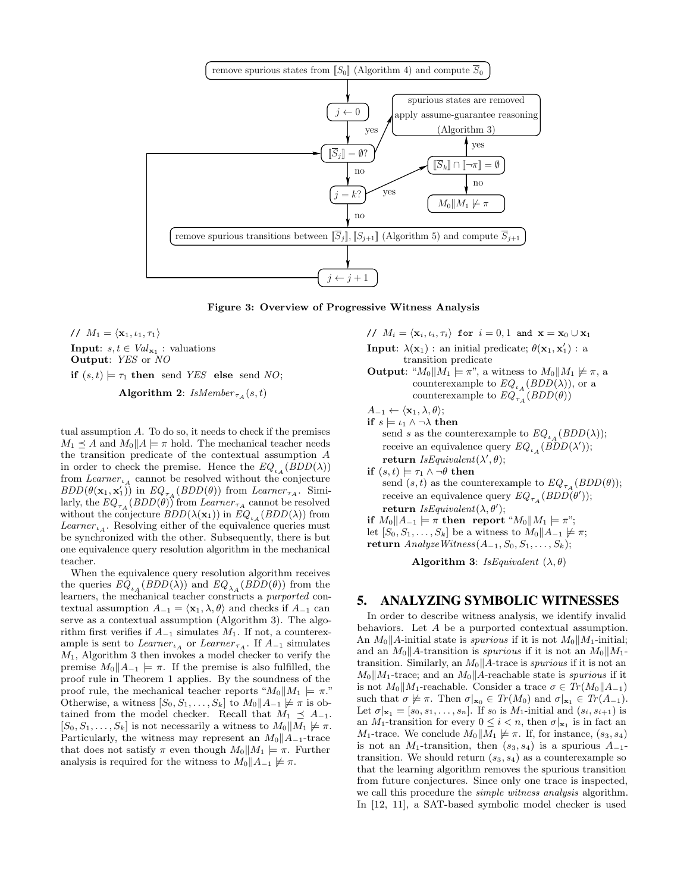

Figure 3: Overview of Progressive Witness Analysis

//  $M_1 = \langle \mathbf{x}_1, \iota_1, \tau_1 \rangle$ **Input:**  $s, t \in Val_{\mathbf{x}_1}$ : valuations Output: YES or NO if  $(s, t) \models \tau_1$  then send YES else send NO; Algorithm 2:  $IsMember_{\tau_A}(s,t)$ 

tual assumption A. To do so, it needs to check if the premises  $M_1 \prec A$  and  $M_0||A|| = \pi$  hold. The mechanical teacher needs the transition predicate of the contextual assumption A in order to check the premise. Hence the  $EQ_{i_A}(BDD(\lambda))$ from  $Learner_{i_A}$  cannot be resolved without the conjecture  $BDD(\theta(\mathbf{x}_1, \mathbf{x}'_1))$  in  $EQ_{\tau A} (BDD(\theta))$  from Learner  $\tau_A$ . Similarly, the  $EQ_{\tau_A}(BDD(\theta))$  from  $Learner_{\tau_A}$  cannot be resolved without the conjecture  $BDD(\lambda(\mathbf{x}_1))$  in  $EQ_{i_A}(BDD(\lambda))$  from  $Learner<sub>LA</sub>$ . Resolving either of the equivalence queries must be synchronized with the other. Subsequently, there is but one equivalence query resolution algorithm in the mechanical teacher.

When the equivalence query resolution algorithm receives the queries  $EQ_{\iota_A}(BDD(\lambda))$  and  $EQ_{\lambda_A}(BDD(\theta))$  from the learners, the mechanical teacher constructs a purported contextual assumption  $A_{-1} = \langle \mathbf{x}_1, \lambda, \theta \rangle$  and checks if  $A_{-1}$  can serve as a contextual assumption (Algorithm 3). The algorithm first verifies if  $A_{-1}$  simulates  $M_1$ . If not, a counterexample is sent to Learner<sub><sup>LA</sub></sup> or Learner<sub> $\tau_A$ </sub>. If  $A_{-1}$  simulates</sub>  $M_1$ , Algorithm 3 then invokes a model checker to verify the premise  $M_0||A_{-1}| = \pi$ . If the premise is also fulfilled, the proof rule in Theorem 1 applies. By the soundness of the proof rule, the mechanical teacher reports " $M_0 \parallel M_1 \models \pi$ ." Otherwise, a witness  $[S_0, S_1, \ldots, S_k]$  to  $M_0||A_{-1} \not\models \pi$  is obtained from the model checker. Recall that  $M_1 \preceq A_{-1}$ .  $[S_0, S_1, \ldots, S_k]$  is not necessarily a witness to  $M_0||M_1 \not\models \pi$ . Particularly, the witness may represent an  $M_0||A_{-1}$ -trace that does not satisfy  $\pi$  even though  $M_0||M_1 \models \pi$ . Further analysis is required for the witness to  $M_0||A_{-1} \not\models \pi$ .

//  $M_i = \langle \mathbf{x}_i, \iota_i, \tau_i \rangle$  for  $i = 0, 1$  and  $\mathbf{x} = \mathbf{x}_0 \cup \mathbf{x}_1$ 

**Input**:  $\lambda(\mathbf{x}_1)$ : an initial predicate;  $\theta(\mathbf{x}_1, \mathbf{x}_1')$ : a transition predicate

**Output:** " $M_0 \parallel M_1 \models \pi$ ", a witness to  $M_0 \parallel M_1 \not\models \pi$ , a counterexample to  $EQ_{i_A}(BDD(\lambda))$ , or a counterexample to  $EQ_{\tau_A}^{\alpha}(BDD(\theta))$ 

$$
A_{-1} \leftarrow \langle \mathbf{x}_1, \lambda, \theta \rangle;
$$

 $\text{if}\,\,s\models \iota_1\wedge \neg \lambda\text{ then}$ send s as the counterexample to  $EQ_{\iota_A}(BDD(\lambda));$ receive an equivalence query  $EQ_{i_A}(BDD(\lambda'));$  $\textbf{return} \; \mathit{IsEquivalent}(\lambda', \theta);$ 

if  $(s, t) \models \tau_1 \land \neg \theta$  then send  $(s, t)$  as the counterexample to  $EQ_{\tau_A}(BDD(\theta));$ receive an equivalence query  $EQ_{\tau_A}(BDD(\theta'));$  $\textbf{return} \; \mathit{IsEquivalent}(\lambda, \theta');$ 

if  $M_0||A_{-1}| = \pi$  then report " $M_0||M_1| = \pi$ "; let  $[S_0, S_1, \ldots, S_k]$  be a witness to  $M_0||A_{-1} \not\models \pi;$ 

$$
\textbf{return} \; Analyze \textit{Witness}(A_{-1}, S_0, S_1, \ldots, S_k);
$$

Algorithm 3: IsEquivalent  $(\lambda, \theta)$ 

#### 5. ANALYZING SYMBOLIC WITNESSES

In order to describe witness analysis, we identify invalid behaviors. Let A be a purported contextual assumption. An  $M_0||A$ -initial state is *spurious* if it is not  $M_0||M_1$ -initial; and an  $M_0||A$ -transition is spurious if it is not an  $M_0||M_1$ transition. Similarly, an  $M_0||A$ -trace is spurious if it is not an  $M_0||M_1$ -trace; and an  $M_0||A$ -reachable state is spurious if it is not  $M_0||M_1$ -reachable. Consider a trace  $\sigma \in Tr(M_0||A_{-1})$ such that  $\sigma \not\models \pi$ . Then  $\sigma|_{\mathbf{x}_0} \in Tr(M_0)$  and  $\sigma|_{\mathbf{x}_1} \in Tr(A_{-1})$ . Let  $\sigma|_{\mathbf{x}_1} = [s_0, s_1, \dots, s_n]$ . If  $s_0$  is  $M_1$ -initial and  $(s_i, s_{i+1})$  is an  $M_1$ -transition for every  $0 \leq i < n$ , then  $\sigma|_{\mathbf{x}_1}$  is in fact an  $M_1$ -trace. We conclude  $M_0||M_1 \not\models \pi$ . If, for instance,  $(s_3, s_4)$ is not an  $M_1$ -transition, then  $(s_3, s_4)$  is a spurious  $A_{-1}$ transition. We should return  $(s_3, s_4)$  as a counterexample so that the learning algorithm removes the spurious transition from future conjectures. Since only one trace is inspected, we call this procedure the *simple witness analysis* algorithm. In [12, 11], a SAT-based symbolic model checker is used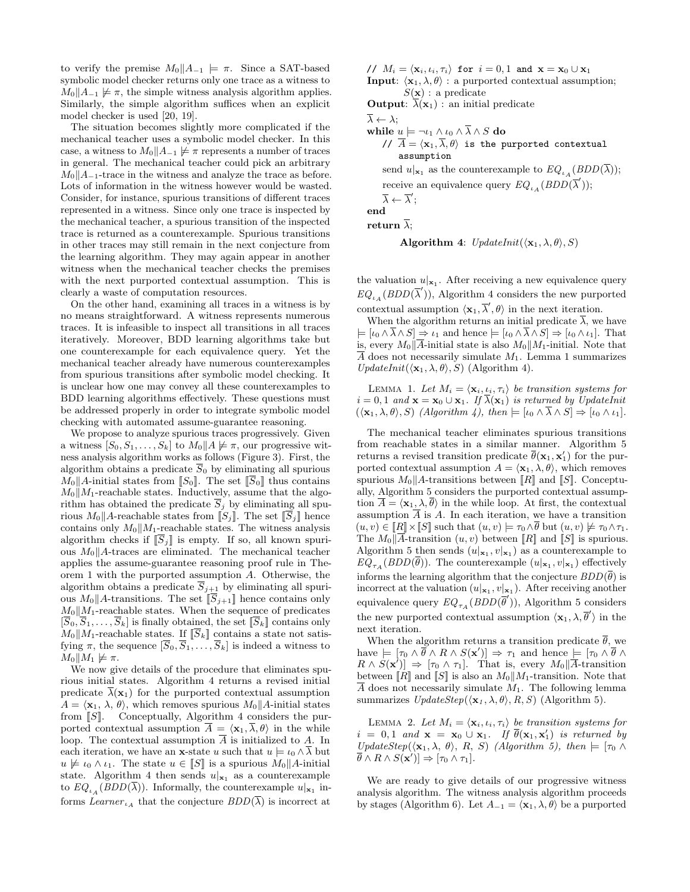to verify the premise  $M_0||A_{-1}| \models \pi$ . Since a SAT-based symbolic model checker returns only one trace as a witness to  $M_0||A_{-1} \not\models \pi$ , the simple witness analysis algorithm applies. Similarly, the simple algorithm suffices when an explicit model checker is used [20, 19].

The situation becomes slightly more complicated if the mechanical teacher uses a symbolic model checker. In this case, a witness to  $M_0||A_{-1} \not\models \pi$  represents a number of traces in general. The mechanical teacher could pick an arbitrary  $M_0$ || $A_{-1}$ -trace in the witness and analyze the trace as before. Lots of information in the witness however would be wasted. Consider, for instance, spurious transitions of different traces represented in a witness. Since only one trace is inspected by the mechanical teacher, a spurious transition of the inspected trace is returned as a counterexample. Spurious transitions in other traces may still remain in the next conjecture from the learning algorithm. They may again appear in another witness when the mechanical teacher checks the premises with the next purported contextual assumption. This is clearly a waste of computation resources.

On the other hand, examining all traces in a witness is by no means straightforward. A witness represents numerous traces. It is infeasible to inspect all transitions in all traces iteratively. Moreover, BDD learning algorithms take but one counterexample for each equivalence query. Yet the mechanical teacher already have numerous counterexamples from spurious transitions after symbolic model checking. It is unclear how one may convey all these counterexamples to BDD learning algorithms effectively. These questions must be addressed properly in order to integrate symbolic model checking with automated assume-guarantee reasoning.

We propose to analyze spurious traces progressively. Given a witness  $[S_0, S_1, \ldots, S_k]$  to  $M_0||A \not\models \pi$ , our progressive witness analysis algorithm works as follows (Figure 3). First, the algorithm obtains a predicate  $S_0$  by eliminating all spurious  $M_0$  ||A-initial states from [[ $S_0$ ]. The set [[ $S_0$ ] thus contains  $M_0||M_1$ -reachable states. Inductively, assume that the algorithm has obtained the predicate  $\overline{S}_i$  by eliminating all spurious  $M_0$ ||A-reachable states from  $\overline{[S_j]}$ . The set  $\overline{[S_j]}$  hence contains only  $M_0||M_1$ -reachable states. The witness analysis algorithm checks if  $\overline{S}_i$  is empty. If so, all known spurious  $M_0$ ||A-traces are eliminated. The mechanical teacher applies the assume-guarantee reasoning proof rule in Theorem 1 with the purported assumption A. Otherwise, the algorithm obtains a predicate  $S_{j+1}$  by eliminating all spurious  $M_0$  | A-transitions. The set  $[S_{j+1}]$  hence contains only  $M_0||M_1$ -reachable states. When the sequence of predicates  $[\overline{S}_0, \overline{S}_1, \ldots, \overline{S}_k]$  is finally obtained, the set  $[\overline{S}_k]$  contains only  $M_0||M_1$ -reachable states. If  $[S_k]$  contains a state not satisfying  $\pi$ , the sequence  $[S_0, S_1, \ldots, S_k]$  is indeed a witness to  $M_0||M_1 \not\models \pi.$ 

We now give details of the procedure that eliminates spurious initial states. Algorithm 4 returns a revised initial predicate  $\bar{\lambda}(\mathbf{x}_1)$  for the purported contextual assumption  $A = \langle \mathbf{x}_1, \lambda, \theta \rangle$ , which removes spurious  $M_0||A$ -initial states from  $\llbracket S \rrbracket$ . Conceptually, Algorithm 4 considers the purported contextual assumption  $\overline{A} = \langle \mathbf{x}_1, \overline{\lambda}, \theta \rangle$  in the while loop. The contextual assumption  $\overline{A}$  is initialized to A. In each iteration, we have an x-state u such that  $u \models \iota_0 \wedge \overline{\lambda}$  but  $u \not\models \iota_0 \wedge \iota_1$ . The state  $u \in \llbracket S \rrbracket$  is a spurious  $M_0 \parallel A$ -initial state. Algorithm 4 then sends  $u|_{\mathbf{x}_1}$  as a counterexample to  $EQ_{i\lambda}(BDD(\lambda))$ . Informally, the counterexample  $u|_{\mathbf{x}_1}$  informs Learner<sub><sup>LA</sub></sup> that the conjecture  $BDD(\overline{\lambda})$  is incorrect at</sub>

//  $M_i = \langle \mathbf{x}_i, \iota_i, \tau_i \rangle$  for  $i = 0, 1$  and  $\mathbf{x} = \mathbf{x}_0 \cup \mathbf{x}_1$ **Input:**  $\langle \mathbf{x}_1, \lambda, \theta \rangle$ : a purported contextual assumption;  $S(\mathbf{x}):$  a predicate

**Output:**  $\overline{\lambda}(\mathbf{x}_1)$ : an initial predicate

 $\overline{\lambda} \leftarrow \lambda$ :

while  $u \models \neg \iota_1 \wedge \iota_0 \wedge \overline{\lambda} \wedge S$  do

//  $\overline{A} = \langle \mathbf{x}_1, \overline{\lambda}, \theta \rangle$  is the purported contextual assumption send  $u|_{\mathbf{x}_1}$  as the counterexample to  $EQ_{\iota_A}(BDD(\overline{\lambda}));$ receive an equivalence query  $EQ_{\iota_A}(BDD(\overline{\lambda}'));$ 

$$
\overline{\lambda} \leftarrow \overline{\lambda}
$$
end

return  $\overline{\lambda}$ :

� ;

Algorithm 4: 
$$
UpdateInit(\langle \mathbf{x}_1, \lambda, \theta \rangle, S)
$$

the valuation  $u|_{\mathbf{x}_1}$ . After receiving a new equivalence query  $EQ_{\iota_A}(BDD(\overline{\lambda}'))$ , Algorithm 4 considers the new purported contextual assumption  $\langle \mathbf{x}_1, \overline{\lambda}', \theta \rangle$  in the next iteration.

When the algorithm returns an initial predicate  $\overline{\lambda}$ , we have  $\models [t_0 \land \overline{\lambda} \land S] \Rightarrow t_1$  and hence  $\models [t_0 \land \overline{\lambda} \land S] \Rightarrow [t_0 \land t_1]$ . That is, every  $M_0\|\overline{A}$ -initial state is also  $M_0\|M_1$ -initial. Note that  $\overline{A}$  does not necessarily simulate  $M_1$ . Lemma 1 summarizes UpdateInit( $\langle \mathbf{x}_1, \lambda, \theta \rangle$ , S) (Algorithm 4).

LEMMA 1. Let  $M_i = \langle \mathbf{x}_i, \iota_i, \tau_i \rangle$  be transition systems for  $i = 0, 1$  and  $\mathbf{x} = \mathbf{x}_0 \cup \mathbf{x}_1$ . If  $\overline{\lambda}(\mathbf{x}_1)$  is returned by UpdateInit  $(\langle \mathbf{x}_1, \lambda, \theta \rangle, S)$  (Algorithm 4), then  $\models [\iota_0 \wedge \overline{\lambda} \wedge S] \Rightarrow [\iota_0 \wedge \iota_1].$ 

The mechanical teacher eliminates spurious transitions from reachable states in a similar manner. Algorithm 5 returns a revised transition predicate  $\theta(\mathbf{x}_1, \mathbf{x}_1')$  for the purported contextual assumption  $A = \langle \mathbf{x}_1, \lambda, \theta \rangle$ , which removes spurious  $M_0$  | A-transitions between [R] and [S]. Conceptually, Algorithm 5 considers the purported contextual assumption  $\overline{A} = \langle \mathbf{x}_1, \lambda, \overline{\theta} \rangle$  in the while loop. At first, the contextual assumption  $\overline{A}$  is A. In each iteration, we have a transition  $(u, v) \in [R] \times [S]$  such that  $(u, v) \models \tau_0 \wedge \overline{\theta}$  but  $(u, v) \not\models \tau_0 \wedge \tau_1$ . The  $M_0 \|\overline{A}$ -transition  $(u, v)$  between  $\llbracket R \rrbracket$  and  $\llbracket S \rrbracket$  is spurious. Algorithm 5 then sends  $(u|_{\mathbf{x}_1}, v|_{\mathbf{x}_1})$  as a counterexample to  $EQ_{\tau_A}(BDD(\overline{\theta}))$ . The counterexample  $(u|\mathbf{x}_1, v|\mathbf{x}_1)$  effectively informs the learning algorithm that the conjecture  $BDD(\overline{\theta})$  is incorrect at the valuation  $(u|\mathbf{x}_1, v|\mathbf{x}_1)$ . After receiving another equivalence query  $EQ_{\tau_A}(BDD(\overline{\theta}'))$ , Algorithm 5 considers the new purported contextual assumption  $\langle \mathbf{x}_1, \lambda, \overline{\theta}' \rangle$  in the next iteration.

When the algorithm returns a transition predicate  $\theta$ , we have  $\models [\tau_0 \land \theta \land R \land S(\mathbf{x}')] \Rightarrow \tau_1$  and hence  $\models [\tau_0 \land \theta \land R \land S(\mathbf{x}')]$  $R \wedge S(\mathbf{x}')] \Rightarrow [\tau_0 \wedge \tau_1]$ . That is, every  $M_0||A$ -transition between  $\llbracket R \rrbracket$  and  $\llbracket S \rrbracket$  is also an  $M_0 \parallel M_1$ -transition. Note that  $\overline{A}$  does not necessarily simulate  $M_1$ . The following lemma summarizes  $UpdateStep(\langle \mathbf{x}_1, \lambda, \theta \rangle, R, S)$  (Algorithm 5).

LEMMA 2. Let  $M_i = \langle \mathbf{x}_i, \iota_i, \tau_i \rangle$  be transition systems for  $i = 0, 1$  and  $\mathbf{x} = \mathbf{x}_0 \cup \mathbf{x}_1$ . If  $\theta(\mathbf{x}_1, \mathbf{x}'_1)$  is returned by UpdateStep( $\langle x_1, \lambda, \theta \rangle$ , R, S) (Algorithm 5), then  $\models \lceil \tau_0 \wedge$  $\theta \wedge R \wedge S(\mathbf{x}') \Rightarrow [\tau_0 \wedge \tau_1].$ 

We are ready to give details of our progressive witness analysis algorithm. The witness analysis algorithm proceeds by stages (Algorithm 6). Let  $A_{-1} = \langle \mathbf{x}_1, \lambda, \theta \rangle$  be a purported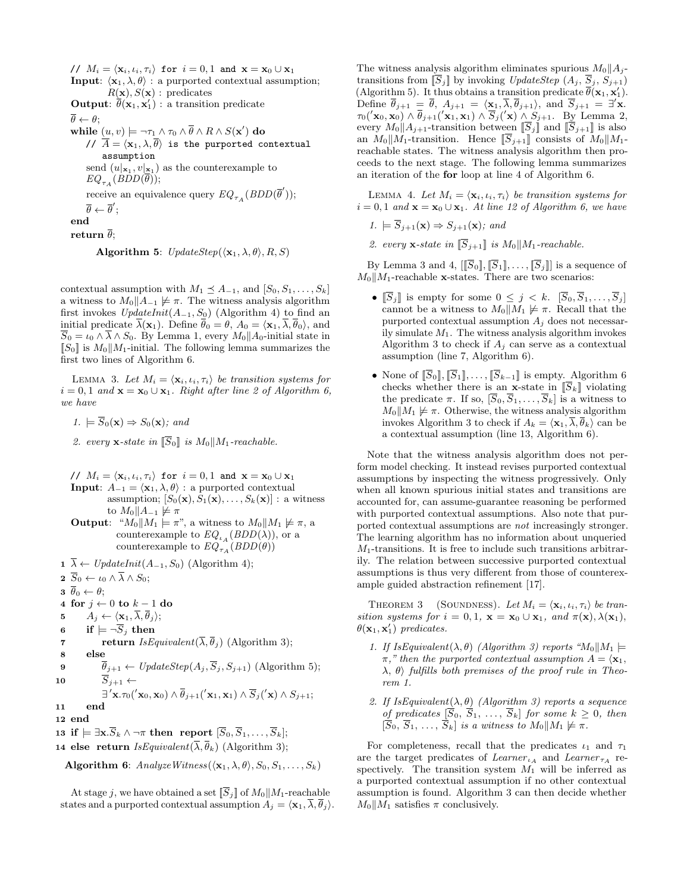//  $M_i = \langle \mathbf{x}_i, \iota_i, \tau_i \rangle$  for  $i = 0, 1$  and  $\mathbf{x} = \mathbf{x}_0 \cup \mathbf{x}_1$ **Input:**  $\langle \mathbf{x}_1, \lambda, \theta \rangle$ : a purported contextual assumption;  $R(\mathbf{x}), S(\mathbf{x}):$  predicates **Output:**  $\theta(\mathbf{x}_1, \mathbf{x}_1')$ : a transition predicate  $\overline{\theta} \leftarrow \theta$ :  $\textbf{while} \; \underline{(u,v)} \models \neg \tau_1 \wedge \tau_0 \wedge \theta \wedge R \wedge S(\mathbf{x}') \; \textbf{do}$ //  $\overline{A} = \langle \mathbf{x}_1, \lambda, \overline{\theta} \rangle$  is the purported contextual assumption send  $(u|_{\mathbf{x}_1}, v|_{\mathbf{x}_1})$  as the counterexample to  $EQ_{\tau_A}(BDD(\overline{\theta}));$ receive an equivalence query  $EQ_{\tau_A}(BDD(\overline{\theta}'));$  $\overline{\theta} \leftarrow \overline{\theta}';$ end return  $\overline{\theta}$ ;

Algorithm 5:  $UpdateStep(\langle \mathbf{x}_1, \lambda, \theta \rangle, R, S)$ 

contextual assumption with  $M_1 \preceq A_{-1}$ , and  $[S_0, S_1, \ldots, S_k]$ a witness to  $M_0||A_{-1} \not\models \pi$ . The witness analysis algorithm first invokes  $UpdateInit(A_{-1}, S_0)$  (Algorithm 4) to find an initial predicate  $\overline{\lambda}(\mathbf{x}_1)$ . Define  $\overline{\theta}_0 = \theta$ ,  $A_0 = \langle \mathbf{x}_1, \overline{\lambda}, \overline{\theta}_0 \rangle$ , and  $\overline{S}_0 = \iota_0 \wedge \overline{\lambda} \wedge S_0$ . By Lemma 1, every  $M_0||A_0$ -initial state in  $\llbracket S_0 \rrbracket$  is  $M_0 \llbracket M_1$ -initial. The following lemma summarizes the first two lines of Algorithm 6.

LEMMA 3. Let  $M_i = \langle \mathbf{x}_i, \iota_i, \tau_i \rangle$  be transition systems for  $i = 0, 1$  and  $\mathbf{x} = \mathbf{x}_0 \cup \mathbf{x}_1$ . Right after line 2 of Algorithm 6, we have

$$
1. \models \overline{S}_0(\mathbf{x}) \Rightarrow S_0(\mathbf{x}); \text{ and}
$$

2. every **x**-state in  $\overline{S}_0$  is  $M_0||M_1$ -reachable.

// 
$$
M_i = \langle \mathbf{x}_i, \iota_i, \tau_i \rangle
$$
 for  $i = 0, 1$  and  $\mathbf{x} = \mathbf{x}_0 \cup \mathbf{x}_1$   
\n**Input:**  $A_{-1} = \langle \mathbf{x}_1, \lambda, \theta \rangle$  : a purported contextual  
\nassumption;  $[S_0(\mathbf{x}), S_1(\mathbf{x}), \dots, S_k(\mathbf{x})]$  : a witness  
\nto  $M_0 || A_{-1} \not\models \pi$   
\n**Output:** " $M_0 || M_1 \models \pi$ ", a witness to  $M_0 || M_1 \not\models \pi$ , a

counterexample to  $EQ_{\iota_A}(BDD(\lambda))$ , or a counterexample to  $EQ_{\tau_A}(BDD(\theta))$ 

- **1**  $\overline{\lambda}$  ← *UpdateInit*( $A_{-1}$ ,  $S_0$ ) (Algorithm 4);
- **2**  $\overline{S}_0 \leftarrow \iota_0 \wedge \overline{\lambda} \wedge S_0;$
- $3 \overline{\theta}_0 \leftarrow \theta;$
- 4 for  $j \leftarrow 0$  to  $k-1$  do<br>5  $A_i \leftarrow \langle \mathbf{x}_1, \overline{\lambda}, \overline{\theta}_i \rangle;$
- 5  $A_j \leftarrow \langle \mathbf{x}_1, \overline{\lambda}, \overline{\theta}_j \rangle;$ <br>6 if  $\models \neg \overline{S}_j$  then
- 
- 6 if  $\models \neg \overline{S}_j$  then<br>7 return  $IsE_0$ **return** IsEquivalent( $\overline{\lambda}$ ,  $\overline{\theta}$ <sub>i</sub>) (Algorithm 3);
- 8 else
- 9  $\theta_{j+1} \leftarrow UpdateStep(A_j, S_j, S_{j+1})$  (Algorithm 5); 10  $S_{j+1} \leftarrow$

$$
\exists' \mathbf{x}. \tau_0(' \mathbf{x}_0, \mathbf{x}_0) \wedge \overline{\theta}_{j+1}(' \mathbf{x}_1, \mathbf{x}_1) \wedge \overline{S}_j(' \mathbf{x}) \wedge S_{j+1};
$$
  
and

12 end

13 if  $\models \exists x.\overline{S}_k \wedge \neg \pi$  then report  $[\overline{S}_0,\overline{S}_1,\ldots,\overline{S}_k];$ 

14 else return  $IsEquivalent(\overline{\lambda}, \overline{\theta}_k)$  (Algorithm 3);

Algorithm 6:  $AnalyzeWitness(\langle \mathbf{x}_1, \lambda, \theta \rangle, S_0, S_1, \ldots, S_k)$ 

At stage j, we have obtained a set  $\overline{S}_j$  of  $M_0||M_1$ -reachable states and a purported contextual assumption  $A_j = \langle \mathbf{x}_1, \overline{\lambda}, \overline{\theta}_j \rangle$ . The witness analysis algorithm eliminates spurious  $M_0||A_i$ transitions from  $\overline{S}_j$  by invoking UpdateStep  $(A_j, \overline{S}_j, S_{j+1})$ (Algorithm 5). It thus obtains a transition predicate  $\theta(\mathbf{x}_1, \mathbf{x}_1')$ . Define  $\theta_{j+1} = \theta$ ,  $A_{j+1} = \langle \mathbf{x}_1, \lambda, \theta_{j+1} \rangle$ , and  $S_{j+1} = \exists' \mathbf{x}$ .  $\tau_0(\mathbf{x}_0, \mathbf{x}_0) \wedge \theta_{j+1}(\mathbf{x}_1, \mathbf{x}_1) \wedge S_j(\mathbf{x}) \wedge S_{j+1}$ . By Lemma 2, every  $M_0||A_{j+1}$ -transition between  $\overline{S}_j$  and  $\overline{S}_{j+1}$  is also an  $M_0||M_1$ -transition. Hence  $[[S_{j+1}]]$  consists of  $M_0||M_1$ reachable states. The witness analysis algorithm then proceeds to the next stage. The following lemma summarizes an iteration of the for loop at line 4 of Algorithm 6.

LEMMA 4. Let  $M_i = \langle \mathbf{x}_i, \iota_i, \tau_i \rangle$  be transition systems for  $i = 0, 1$  and  $\mathbf{x} = \mathbf{x}_0 \cup \mathbf{x}_1$ . At line 12 of Algorithm 6, we have

$$
1. \models S_{j+1}(\mathbf{x}) \Rightarrow S_{j+1}(\mathbf{x}); \text{ and}
$$

2. every **x**-state in  $\|\overline{S}_{i+1}\|$  is  $M_0\|M_1$ -reachable.

By Lemma 3 and 4,  $[[\overline{S}_0], [\overline{S}_1], \ldots, [\overline{S}_j]]$  is a sequence of  $M_0||M_1$ -reachable x-states. There are two scenarios:

- $\overline{S}_j$  is empty for some  $0 \leq j \leq k$ .  $[\overline{S}_0, \overline{S}_1, \ldots, \overline{S}_j]$ cannot be a witness to  $M_0||M_1 \not\models \pi$ . Recall that the purported contextual assumption  $A_i$  does not necessarily simulate  $M_1$ . The witness analysis algorithm invokes Algorithm 3 to check if  $A_i$  can serve as a contextual assumption (line 7, Algorithm 6).
- None of  $\overline{S_0}$ ,  $\overline{S_1}$ , ...,  $\overline{S}_{k-1}$  is empty. Algorithm 6 checks whether there is an **x**-state in  $\overline{S}_k$  violating the predicate  $\pi$ . If so,  $[\overline{S}_0, \overline{S}_1, \ldots, \overline{S}_k]$  is a witness to  $M_0||M_1 \not\models \pi$ . Otherwise, the witness analysis algorithm invokes Algorithm 3 to check if  $A_k = \langle \mathbf{x}_1, \overline{\lambda}, \overline{\theta}_k \rangle$  can be a contextual assumption (line 13, Algorithm 6).

Note that the witness analysis algorithm does not perform model checking. It instead revises purported contextual assumptions by inspecting the witness progressively. Only when all known spurious initial states and transitions are accounted for, can assume-guarantee reasoning be performed with purported contextual assumptions. Also note that purported contextual assumptions are not increasingly stronger. The learning algorithm has no information about unqueried  $M_1$ -transitions. It is free to include such transitions arbitrarily. The relation between successive purported contextual assumptions is thus very different from those of counterexample guided abstraction refinement [17].

THEOREM 3 (SOUNDNESS). Let  $M_i = \langle \mathbf{x}_i, \iota_i, \tau_i \rangle$  be transition systems for  $i = 0, 1$ ,  $\mathbf{x} = \mathbf{x}_0 \cup \mathbf{x}_1$ , and  $\pi(\mathbf{x}), \lambda(\mathbf{x}_1)$ ,  $\theta(\mathbf{x}_1, \mathbf{x}'_1)$  predicates.

- 1. If IsEquivalent( $\lambda, \theta$ ) (Algorithm 3) reports " $M_0||M_1|$  =  $\pi$ ," then the purported contextual assumption  $A = \langle \mathbf{x}_1, \mathbf{x}_2 \rangle$  $\lambda$ ,  $\theta$ ) fulfills both premises of the proof rule in Theorem 1.
- 2. If  $IsEquivalent(\lambda, \theta)$  (Algorithm 3) reports a sequence of predicates  $[S_0, S_1, \ldots, S_k]$  for some  $k \geq 0$ , then  $[S_0, S_1, \ldots, S_k]$  is a witness to  $M_0||M_1 \not\models \pi$ .

For completeness, recall that the predicates  $\iota_1$  and  $\tau_1$ are the target predicates of  $Learner_{i_A}$  and  $Learner_{\tau_A}$  respectively. The transition system  $M_1$  will be inferred as a purported contextual assumption if no other contextual assumption is found. Algorithm 3 can then decide whether  $M_0||M_1$  satisfies  $\pi$  conclusively.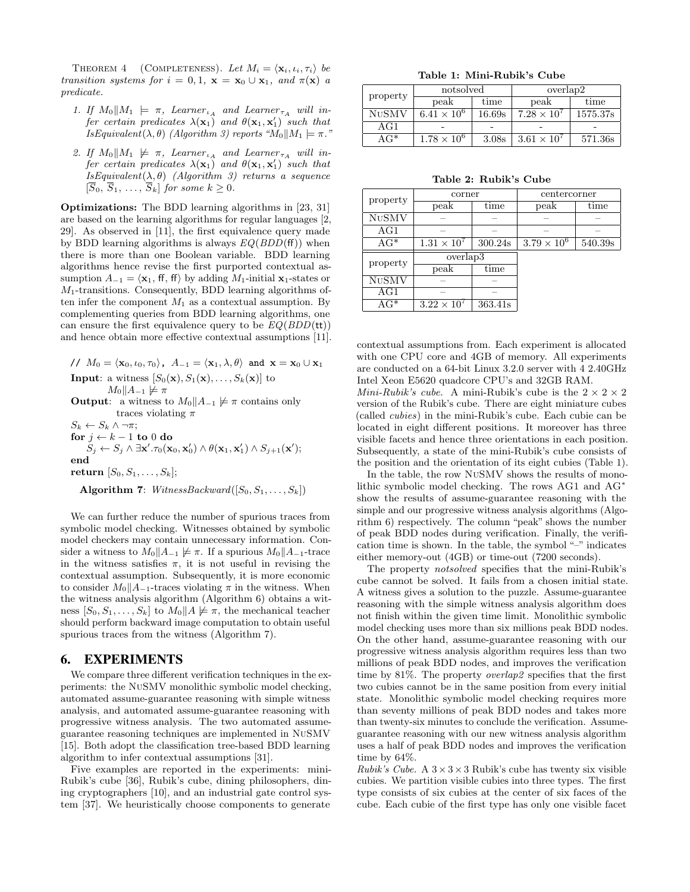THEOREM 4 (COMPLETENESS). Let  $M_i = \langle \mathbf{x}_i, \iota_i, \tau_i \rangle$  be transition systems for  $i = 0, 1$ ,  $\mathbf{x} = \mathbf{x}_0 \cup \mathbf{x}_1$ , and  $\pi(\mathbf{x})$  a predicate.

- 1. If  $M_0||M_1 \models \pi$ , Learner<sub><sup>LA</sub></sup> and Learner<sub>TA</sub> will in-</sub> fer certain predicates  $\lambda(\mathbf{x}_1)$  and  $\theta(\mathbf{x}_1, \mathbf{x}_1')$  such that IsEquivalent( $\lambda, \theta$ ) (Algorithm 3) reports " $M_0||M_1 \models \pi$ ."
- 2. If  $M_0||M_1 \not\models \pi$ , Learner  $\iota_A$  and Learner  $\iota_{\tau_A}$  will infer certain predicates  $\lambda(\mathbf{x}_1)$  and  $\theta(\mathbf{x}_1, \mathbf{x}'_1)$  such that  $IsEquivalent(\lambda, \theta)$  (Algorithm 3) returns a sequence  $[\overline{S}_0, \overline{S}_1, \ldots, \overline{S}_k]$  for some  $k \geq 0$ .

Optimizations: The BDD learning algorithms in [23, 31] are based on the learning algorithms for regular languages [2, 29]. As observed in [11], the first equivalence query made by BDD learning algorithms is always  $EQ(BDD(ff))$  when there is more than one Boolean variable. BDD learning algorithms hence revise the first purported contextual assumption  $A_{-1} = \langle \mathbf{x}_1, \mathbf{f} \mathbf{f}, \mathbf{f} \mathbf{f} \rangle$  by adding  $M_1$ -initial  $\mathbf{x}_1$ -states or  $M_1$ -transitions. Consequently, BDD learning algorithms often infer the component  $M_1$  as a contextual assumption. By complementing queries from BDD learning algorithms, one can ensure the first equivalence query to be  $EQ(BDD(\mathsf{tt}))$ and hence obtain more effective contextual assumptions [11].

 $\mathcal{U} \mathcal{U} M_0 = \langle \mathbf{x}_0, \iota_0, \tau_0 \rangle$ ,  $A_{-1} = \langle \mathbf{x}_1, \lambda, \theta \rangle$  and  $\mathbf{x} = \mathbf{x}_0 \cup \mathbf{x}_1$ **Input**: a witness  $[S_0(\mathbf{x}), S_1(\mathbf{x}), \ldots, S_k(\mathbf{x})]$  to  $M_0||A_{-1} \not\models \pi$ 

**Output:** a witness to  $M_0||A_{-1} \not\models \pi$  contains only traces violating  $\pi$ 

 $S_k \leftarrow S_k \wedge \neg \pi;$  $\mathbf{for}~j \leftarrow k - 1~\mathbf{to}~0~\mathbf{do}$  $S_j \leftarrow S_j \land \exists \mathbf{x}'.\tau_0(\mathbf{x}_0, \mathbf{x}'_0) \land \theta(\mathbf{x}_1, \mathbf{x}'_1) \land S_{j+1}(\mathbf{x}');$ end return  $[S_0, S_1, \ldots, S_k]$ ;

Algorithm 7: WitnessBackward( $[S_0, S_1, \ldots, S_k]$ )

We can further reduce the number of spurious traces from symbolic model checking. Witnesses obtained by symbolic model checkers may contain unnecessary information. Consider a witness to  $M_0||A_{-1} \not\models \pi$ . If a spurious  $M_0||A_{-1}$ -trace in the witness satisfies  $\pi$ , it is not useful in revising the contextual assumption. Subsequently, it is more economic to consider  $M_0||A_{-1}$ -traces violating  $\pi$  in the witness. When the witness analysis algorithm (Algorithm 6) obtains a witness  $[S_0, S_1, \ldots, S_k]$  to  $M_0||A \not\models \pi$ , the mechanical teacher should perform backward image computation to obtain useful spurious traces from the witness (Algorithm 7).

## 6. EXPERIMENTS

We compare three different verification techniques in the experiments: the NuSMV monolithic symbolic model checking, automated assume-guarantee reasoning with simple witness analysis, and automated assume-guarantee reasoning with progressive witness analysis. The two automated assumeguarantee reasoning techniques are implemented in NuSMV [15]. Both adopt the classification tree-based BDD learning algorithm to infer contextual assumptions [31].

Five examples are reported in the experiments: mini-Rubik's cube [36], Rubik's cube, dining philosophers, dining cryptographers [10], and an industrial gate control system [37]. We heuristically choose components to generate

Table 1: Mini-Rubik's Cube

| property     | notsolved            |        | overlap2             |          |  |
|--------------|----------------------|--------|----------------------|----------|--|
|              | peak                 | time   | peak                 | time     |  |
| <b>NUSMV</b> | $6.41 \times 10^{6}$ | 16.69s | $7.28 \times 10^{7}$ | 1575.37s |  |
| $_{\rm AG1}$ |                      |        |                      |          |  |
| AG*          | $1.78 \times 10^{6}$ | 3.08s  | $3.61 \times 10^{7}$ | 571.36s  |  |

Table 2: Rubik's Cube

| property                 | corner               |         | centercorner         |         |  |
|--------------------------|----------------------|---------|----------------------|---------|--|
|                          | peak                 | time    | peak                 | time    |  |
| $\overline{\text{NUSM}}$ |                      |         |                      |         |  |
| AG1                      |                      |         |                      |         |  |
| $AG^*$                   | $1.31 \times 10^{7}$ | 300.24s | $3.79 \times 10^{6}$ | 540.39s |  |
| property                 | overlap3             |         |                      |         |  |
|                          | peak                 | time    |                      |         |  |
| <b>NUSMV</b>             |                      |         |                      |         |  |
| AG1                      |                      |         |                      |         |  |
| $AG^*$                   | $3.22 \times 10^{7}$ | 363.41s |                      |         |  |

contextual assumptions from. Each experiment is allocated with one CPU core and 4GB of memory. All experiments are conducted on a 64-bit Linux 3.2.0 server with 4 2.40GHz Intel Xeon E5620 quadcore CPU's and 32GB RAM.

*Mini-Rubik's cube.* A mini-Rubik's cube is the  $2 \times 2 \times 2$ version of the Rubik's cube. There are eight miniature cubes (called cubies) in the mini-Rubik's cube. Each cubie can be located in eight different positions. It moreover has three visible facets and hence three orientations in each position. Subsequently, a state of the mini-Rubik's cube consists of the position and the orientation of its eight cubies (Table 1).

In the table, the row NuSMV shows the results of monolithic symbolic model checking. The rows AG1 and AG∗ show the results of assume-guarantee reasoning with the simple and our progressive witness analysis algorithms (Algorithm 6) respectively. The column "peak" shows the number of peak BDD nodes during verification. Finally, the verification time is shown. In the table, the symbol "–" indicates either memory-out (4GB) or time-out (7200 seconds).

The property notsolved specifies that the mini-Rubik's cube cannot be solved. It fails from a chosen initial state. A witness gives a solution to the puzzle. Assume-guarantee reasoning with the simple witness analysis algorithm does not finish within the given time limit. Monolithic symbolic model checking uses more than six millions peak BDD nodes. On the other hand, assume-guarantee reasoning with our progressive witness analysis algorithm requires less than two millions of peak BDD nodes, and improves the verification time by 81%. The property overlap2 specifies that the first two cubies cannot be in the same position from every initial state. Monolithic symbolic model checking requires more than seventy millions of peak BDD nodes and takes more than twenty-six minutes to conclude the verification. Assumeguarantee reasoning with our new witness analysis algorithm uses a half of peak BDD nodes and improves the verification time by 64%.

*Rubik's Cube.* A  $3 \times 3 \times 3$  Rubik's cube has twenty six visible cubies. We partition visible cubies into three types. The first type consists of six cubies at the center of six faces of the cube. Each cubie of the first type has only one visible facet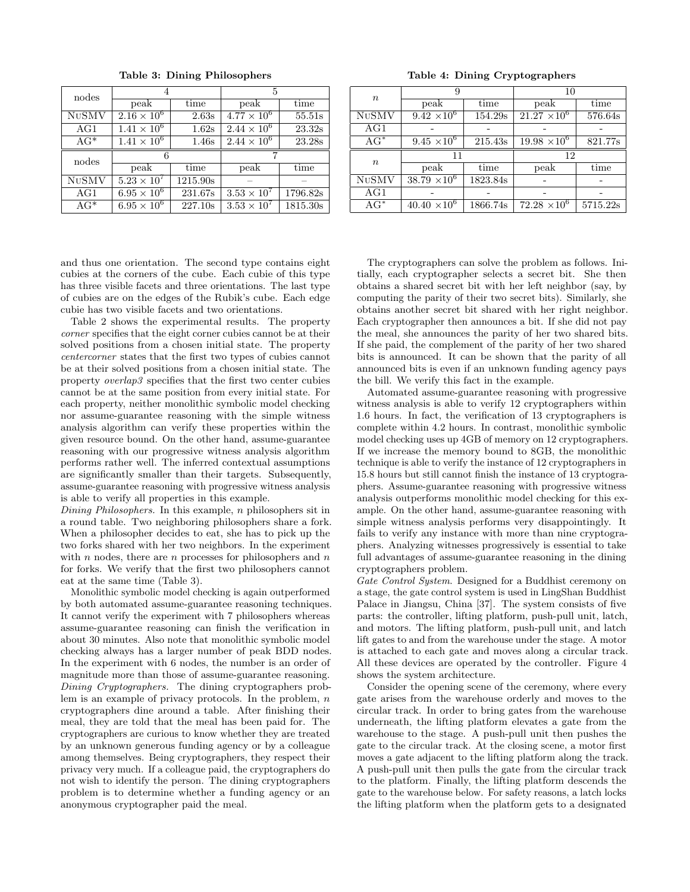| nodes                      |                      |          | 5                    |          |  |
|----------------------------|----------------------|----------|----------------------|----------|--|
|                            | peak                 | time     | peak                 | time     |  |
| $\overline{\text{NuSM}}$ V | $2.16 \times 10^{6}$ | 2.63s    | $4.77 \times 10^{6}$ | 55.51s   |  |
| AG1                        | $1.41 \times 10^{6}$ | 1.62s    | $2.44 \times 10^{6}$ | 23.32s   |  |
| $AG^*$                     | $1.41 \times 10^{6}$ | 1.46s    | $2.44 \times 10^{6}$ | 23.28s   |  |
|                            |                      |          |                      |          |  |
|                            | 6                    |          |                      |          |  |
| nodes                      | peak                 | time     | peak                 | time     |  |
| <b>NUSMV</b>               | $5.23 \times 10^{7}$ | 1215.90s |                      |          |  |
| AG1                        | $6.95 \times 10^{6}$ | 231.67s  | $3.53 \times 10^{7}$ | 1796.82s |  |

Table 3: Dining Philosophers

and thus one orientation. The second type contains eight cubies at the corners of the cube. Each cubie of this type has three visible facets and three orientations. The last type of cubies are on the edges of the Rubik's cube. Each edge cubie has two visible facets and two orientations.

Table 2 shows the experimental results. The property corner specifies that the eight corner cubies cannot be at their solved positions from a chosen initial state. The property centercorner states that the first two types of cubies cannot be at their solved positions from a chosen initial state. The property overlap3 specifies that the first two center cubies cannot be at the same position from every initial state. For each property, neither monolithic symbolic model checking nor assume-guarantee reasoning with the simple witness analysis algorithm can verify these properties within the given resource bound. On the other hand, assume-guarantee reasoning with our progressive witness analysis algorithm performs rather well. The inferred contextual assumptions are significantly smaller than their targets. Subsequently, assume-guarantee reasoning with progressive witness analysis is able to verify all properties in this example.

Dining Philosophers. In this example, n philosophers sit in a round table. Two neighboring philosophers share a fork. When a philosopher decides to eat, she has to pick up the two forks shared with her two neighbors. In the experiment with  $\boldsymbol{n}$  nodes, there are  $\boldsymbol{n}$  processes for philosophers and  $\boldsymbol{n}$ for forks. We verify that the first two philosophers cannot eat at the same time (Table 3).

Monolithic symbolic model checking is again outperformed by both automated assume-guarantee reasoning techniques. It cannot verify the experiment with 7 philosophers whereas assume-guarantee reasoning can finish the verification in about 30 minutes. Also note that monolithic symbolic model checking always has a larger number of peak BDD nodes. In the experiment with 6 nodes, the number is an order of magnitude more than those of assume-guarantee reasoning. Dining Cryptographers. The dining cryptographers problem is an example of privacy protocols. In the problem,  $n$ cryptographers dine around a table. After finishing their meal, they are told that the meal has been paid for. The cryptographers are curious to know whether they are treated by an unknown generous funding agency or by a colleague among themselves. Being cryptographers, they respect their privacy very much. If a colleague paid, the cryptographers do not wish to identify the person. The dining cryptographers problem is to determine whether a funding agency or an anonymous cryptographer paid the meal.

Table 4: Dining Cryptographers

| $\boldsymbol{n}$ | 9                     |          | 10                    |          |  |
|------------------|-----------------------|----------|-----------------------|----------|--|
|                  | peak                  | time     | peak                  | time     |  |
| <b>NUSMV</b>     | $9.42 \times 10^{6}$  | 154.29s  | $21.27 \times 10^6$   | 576.64s  |  |
| AG1              |                       |          |                       |          |  |
| $AG^*$           | $9.45 \times 10^6$    | 215.43s  | $19.98 \times 10^{6}$ | 821.77s  |  |
| $\boldsymbol{n}$ | 11                    |          | 12                    |          |  |
|                  | peak                  | time     | peak                  | time     |  |
| <b>NUSMV</b>     | $38.79 \times 10^{6}$ | 1823.84s |                       |          |  |
| AG1              |                       |          |                       |          |  |
| $AG^*$           | $40.40 \times 10^6$   | 1866.74s | $72.28 \times 10^{6}$ | 5715.22s |  |

The cryptographers can solve the problem as follows. Initially, each cryptographer selects a secret bit. She then obtains a shared secret bit with her left neighbor (say, by computing the parity of their two secret bits). Similarly, she obtains another secret bit shared with her right neighbor. Each cryptographer then announces a bit. If she did not pay the meal, she announces the parity of her two shared bits. If she paid, the complement of the parity of her two shared bits is announced. It can be shown that the parity of all announced bits is even if an unknown funding agency pays the bill. We verify this fact in the example.

Automated assume-guarantee reasoning with progressive witness analysis is able to verify 12 cryptographers within 1.6 hours. In fact, the verification of 13 cryptographers is complete within 4.2 hours. In contrast, monolithic symbolic model checking uses up 4GB of memory on 12 cryptographers. If we increase the memory bound to 8GB, the monolithic technique is able to verify the instance of 12 cryptographers in 15.8 hours but still cannot finish the instance of 13 cryptographers. Assume-guarantee reasoning with progressive witness analysis outperforms monolithic model checking for this example. On the other hand, assume-guarantee reasoning with simple witness analysis performs very disappointingly. It fails to verify any instance with more than nine cryptographers. Analyzing witnesses progressively is essential to take full advantages of assume-guarantee reasoning in the dining cryptographers problem.

Gate Control System. Designed for a Buddhist ceremony on a stage, the gate control system is used in LingShan Buddhist Palace in Jiangsu, China [37]. The system consists of five parts: the controller, lifting platform, push-pull unit, latch, and motors. The lifting platform, push-pull unit, and latch lift gates to and from the warehouse under the stage. A motor is attached to each gate and moves along a circular track. All these devices are operated by the controller. Figure 4 shows the system architecture.

Consider the opening scene of the ceremony, where every gate arises from the warehouse orderly and moves to the circular track. In order to bring gates from the warehouse underneath, the lifting platform elevates a gate from the warehouse to the stage. A push-pull unit then pushes the gate to the circular track. At the closing scene, a motor first moves a gate adjacent to the lifting platform along the track. A push-pull unit then pulls the gate from the circular track to the platform. Finally, the lifting platform descends the gate to the warehouse below. For safety reasons, a latch locks the lifting platform when the platform gets to a designated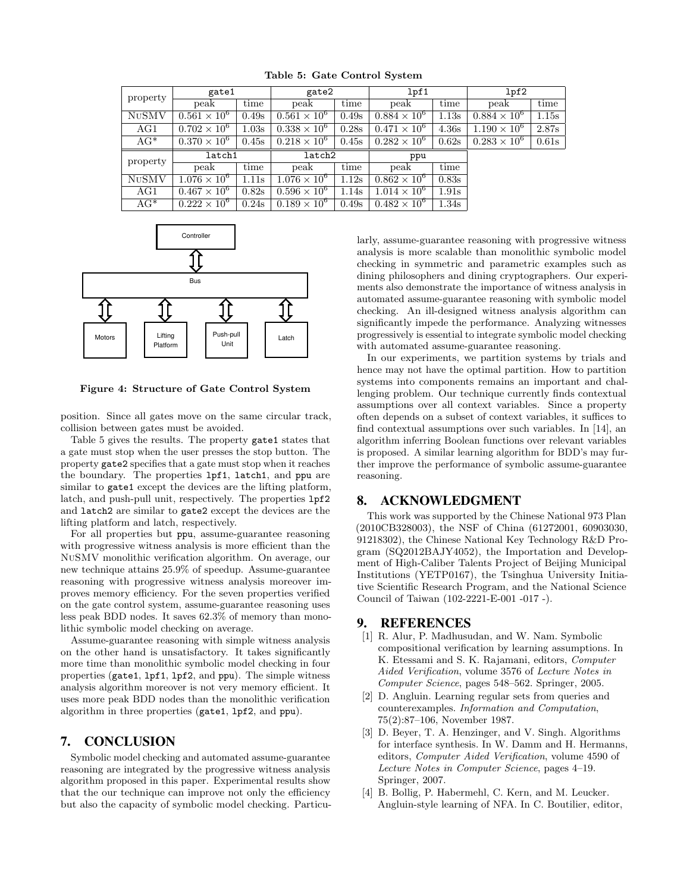| property     | gate1                 |       |                       | gate2 |                       | lpf1             |                       | lpf2  |  |
|--------------|-----------------------|-------|-----------------------|-------|-----------------------|------------------|-----------------------|-------|--|
|              | peak                  | time  | peak                  | time  | peak                  | time             | peak                  | time  |  |
| <b>NUSMV</b> | $0.561 \times 10^{6}$ | 0.49s | $0.561 \times 10^{6}$ | 0.49s | $0.884 \times 10^{6}$ | 1.13s            | $0.884 \times 10^{6}$ | 1.15s |  |
| AG1          | $0.702 \times 10^{6}$ | 1.03s | $0.338 \times 10^{6}$ | 0.28s | $0.471 \times 10^{6}$ | 4.36s            | $1.190 \times 10^{6}$ | 2.87s |  |
| $AG^*$       | $0.370 \times 10^{6}$ | 0.45s | $0.218 \times 10^{6}$ | 0.45s | $0.282 \times 10^{6}$ | 0.62s            | $0.283 \times 10^{6}$ | 0.61s |  |
| property     | latch1                |       | latch2                |       | ppu                   |                  |                       |       |  |
|              | peak                  | time  | peak                  | time  | peak                  | time             |                       |       |  |
| <b>NUSMV</b> | $1.076 \times 10^{6}$ | 1.11s | $1.076 \times 10^{6}$ | 1.12s | $0.862 \times 10^{6}$ | 0.83s            |                       |       |  |
| AG1          | $0.467 \times 10^{6}$ | 0.82s | $0.596 \times 10^{6}$ | 1.14s | $1.014 \times 10^{6}$ | 1.91s            |                       |       |  |
| $AG^*$       | $0.222 \times 10^{6}$ | 0.24s | $0.189 \times 10^{6}$ | 0.49s | $0.482 \times 10^{6}$ | $1.34\mathrm{s}$ |                       |       |  |

Table 5: Gate Control System



Figure 4: Structure of Gate Control System

position. Since all gates move on the same circular track, collision between gates must be avoided.

Table 5 gives the results. The property gate1 states that a gate must stop when the user presses the stop button. The property gate2 specifies that a gate must stop when it reaches the boundary. The properties lpf1, latch1, and ppu are similar to gate1 except the devices are the lifting platform, latch, and push-pull unit, respectively. The properties lpf2 and latch2 are similar to gate2 except the devices are the lifting platform and latch, respectively.

For all properties but ppu, assume-guarantee reasoning with progressive witness analysis is more efficient than the NuSMV monolithic verification algorithm. On average, our new technique attains 25.9% of speedup. Assume-guarantee reasoning with progressive witness analysis moreover improves memory efficiency. For the seven properties verified on the gate control system, assume-guarantee reasoning uses less peak BDD nodes. It saves 62.3% of memory than monolithic symbolic model checking on average.

Assume-guarantee reasoning with simple witness analysis on the other hand is unsatisfactory. It takes significantly more time than monolithic symbolic model checking in four properties (gate1, lpf1, lpf2, and ppu). The simple witness analysis algorithm moreover is not very memory efficient. It uses more peak BDD nodes than the monolithic verification algorithm in three properties (gate1, lpf2, and ppu).

#### 7. CONCLUSION

Symbolic model checking and automated assume-guarantee reasoning are integrated by the progressive witness analysis algorithm proposed in this paper. Experimental results show that the our technique can improve not only the efficiency but also the capacity of symbolic model checking. Particularly, assume-guarantee reasoning with progressive witness analysis is more scalable than monolithic symbolic model checking in symmetric and parametric examples such as dining philosophers and dining cryptographers. Our experiments also demonstrate the importance of witness analysis in automated assume-guarantee reasoning with symbolic model checking. An ill-designed witness analysis algorithm can significantly impede the performance. Analyzing witnesses progressively is essential to integrate symbolic model checking with automated assume-guarantee reasoning.

In our experiments, we partition systems by trials and hence may not have the optimal partition. How to partition systems into components remains an important and challenging problem. Our technique currently finds contextual assumptions over all context variables. Since a property often depends on a subset of context variables, it suffices to find contextual assumptions over such variables. In [14], an algorithm inferring Boolean functions over relevant variables is proposed. A similar learning algorithm for BDD's may further improve the performance of symbolic assume-guarantee reasoning.

## 8. ACKNOWLEDGMENT

This work was supported by the Chinese National 973 Plan (2010CB328003), the NSF of China (61272001, 60903030, 91218302), the Chinese National Key Technology R&D Program (SQ2012BAJY4052), the Importation and Development of High-Caliber Talents Project of Beijing Municipal Institutions (YETP0167), the Tsinghua University Initiative Scientific Research Program, and the National Science Council of Taiwan (102-2221-E-001 -017 -).

#### 9. REFERENCES

- [1] R. Alur, P. Madhusudan, and W. Nam. Symbolic compositional verification by learning assumptions. In K. Etessami and S. K. Rajamani, editors, Computer Aided Verification, volume 3576 of Lecture Notes in Computer Science, pages 548–562. Springer, 2005.
- [2] D. Angluin. Learning regular sets from queries and counterexamples. Information and Computation, 75(2):87–106, November 1987.
- [3] D. Beyer, T. A. Henzinger, and V. Singh. Algorithms for interface synthesis. In W. Damm and H. Hermanns, editors, Computer Aided Verification, volume 4590 of Lecture Notes in Computer Science, pages 4–19. Springer, 2007.
- [4] B. Bollig, P. Habermehl, C. Kern, and M. Leucker. Angluin-style learning of NFA. In C. Boutilier, editor,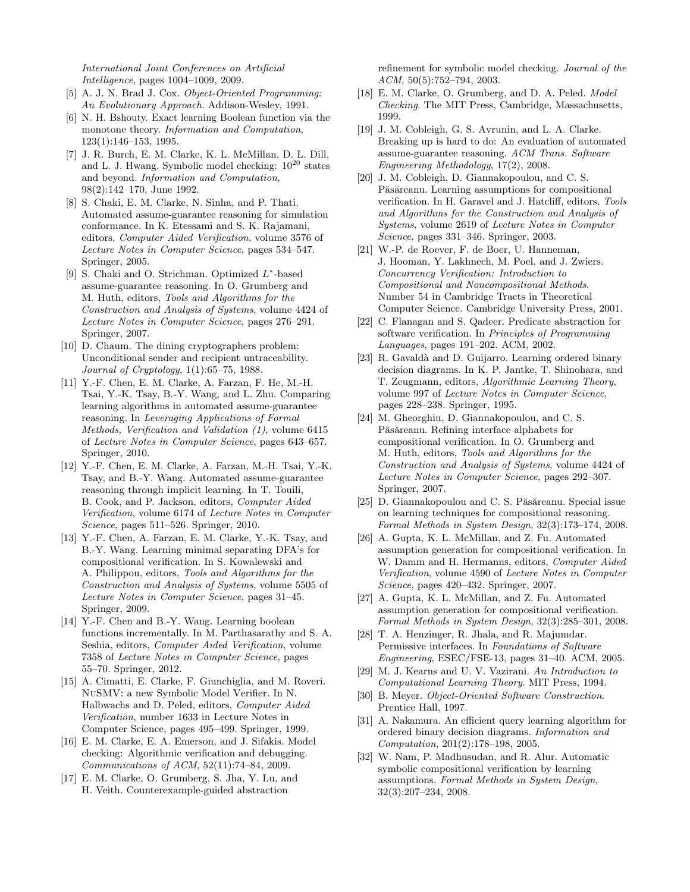International Joint Conferences on Artificial Intelligence, pages 1004–1009, 2009.

- [5] A. J. N. Brad J. Cox. Object-Oriented Programming: An Evolutionary Approach. Addison-Wesley, 1991.
- [6] N. H. Bshouty. Exact learning Boolean function via the monotone theory. Information and Computation, 123(1):146–153, 1995.
- [7] J. R. Burch, E. M. Clarke, K. L. McMillan, D. L. Dill, and L. J. Hwang. Symbolic model checking:  $10^{20}$  states and beyond. Information and Computation, 98(2):142–170, June 1992.
- [8] S. Chaki, E. M. Clarke, N. Sinha, and P. Thati. Automated assume-guarantee reasoning for simulation conformance. In K. Etessami and S. K. Rajamani, editors, Computer Aided Verification, volume 3576 of Lecture Notes in Computer Science, pages 534–547. Springer, 2005.
- [9] S. Chaki and O. Strichman. Optimized L∗-based assume-guarantee reasoning. In O. Grumberg and M. Huth, editors, Tools and Algorithms for the Construction and Analysis of Systems, volume 4424 of Lecture Notes in Computer Science, pages 276–291. Springer, 2007.
- [10] D. Chaum. The dining cryptographers problem: Unconditional sender and recipient untraceability. Journal of Cryptology, 1(1):65–75, 1988.
- [11] Y.-F. Chen, E. M. Clarke, A. Farzan, F. He, M.-H. Tsai, Y.-K. Tsay, B.-Y. Wang, and L. Zhu. Comparing learning algorithms in automated assume-guarantee reasoning. In Leveraging Applications of Formal Methods, Verification and Validation (1), volume 6415 of Lecture Notes in Computer Science, pages 643–657. Springer, 2010.
- [12] Y.-F. Chen, E. M. Clarke, A. Farzan, M.-H. Tsai, Y.-K. Tsay, and B.-Y. Wang. Automated assume-guarantee reasoning through implicit learning. In T. Touili, B. Cook, and P. Jackson, editors, Computer Aided Verification, volume 6174 of Lecture Notes in Computer Science, pages 511–526. Springer, 2010.
- [13] Y.-F. Chen, A. Farzan, E. M. Clarke, Y.-K. Tsay, and B.-Y. Wang. Learning minimal separating DFA's for compositional verification. In S. Kowalewski and A. Philippou, editors, Tools and Algorithms for the Construction and Analysis of Systems, volume 5505 of Lecture Notes in Computer Science, pages 31–45. Springer, 2009.
- [14] Y.-F. Chen and B.-Y. Wang. Learning boolean functions incrementally. In M. Parthasarathy and S. A. Seshia, editors, Computer Aided Verification, volume 7358 of Lecture Notes in Computer Science, pages 55–70. Springer, 2012.
- [15] A. Cimatti, E. Clarke, F. Giunchiglia, and M. Roveri. NuSMV: a new Symbolic Model Verifier. In N. Halbwachs and D. Peled, editors, Computer Aided Verification, number 1633 in Lecture Notes in Computer Science, pages 495–499. Springer, 1999.
- [16] E. M. Clarke, E. A. Emerson, and J. Sifakis. Model checking: Algorithmic verification and debugging. Communications of ACM, 52(11):74–84, 2009.
- [17] E. M. Clarke, O. Grumberg, S. Jha, Y. Lu, and H. Veith. Counterexample-guided abstraction

refinement for symbolic model checking. Journal of the ACM, 50(5):752–794, 2003.

- [18] E. M. Clarke, O. Grumberg, and D. A. Peled. Model Checking. The MIT Press, Cambridge, Massachusetts, 1999.
- [19] J. M. Cobleigh, G. S. Avrunin, and L. A. Clarke. Breaking up is hard to do: An evaluation of automated assume-guarantee reasoning. ACM Trans. Software Engineering Methodology, 17(2), 2008.
- [20] J. M. Cobleigh, D. Giannakopoulou, and C. S. Păsăreanu. Learning assumptions for compositional verification. In H. Garavel and J. Hatcliff, editors, Tools and Algorithms for the Construction and Analysis of Systems, volume 2619 of Lecture Notes in Computer Science, pages 331–346. Springer, 2003.
- [21] W.-P. de Roever, F. de Boer, U. Hanneman, J. Hooman, Y. Lakhnech, M. Poel, and J. Zwiers. Concurrency Verification: Introduction to Compositional and Noncompositional Methods. Number 54 in Cambridge Tracts in Theoretical Computer Science. Cambridge University Press, 2001.
- [22] C. Flanagan and S. Qadeer. Predicate abstraction for software verification. In Principles of Programming Languages, pages 191–202. ACM, 2002.
- [23] R. Gavaldà and D. Guijarro. Learning ordered binary decision diagrams. In K. P. Jantke, T. Shinohara, and T. Zeugmann, editors, Algorithmic Learning Theory, volume 997 of Lecture Notes in Computer Science, pages 228–238. Springer, 1995.
- [24] M. Gheorghiu, D. Giannakopoulou, and C. S. Păsăreanu. Refining interface alphabets for compositional verification. In O. Grumberg and M. Huth, editors, Tools and Algorithms for the Construction and Analysis of Systems, volume 4424 of Lecture Notes in Computer Science, pages 292–307. Springer, 2007.
- [25] D. Giannakopoulou and C. S. Păsăreanu. Special issue on learning techniques for compositional reasoning. Formal Methods in System Design, 32(3):173–174, 2008.
- [26] A. Gupta, K. L. McMillan, and Z. Fu. Automated assumption generation for compositional verification. In W. Damm and H. Hermanns, editors, Computer Aided Verification, volume 4590 of Lecture Notes in Computer Science, pages 420–432. Springer, 2007.
- [27] A. Gupta, K. L. McMillan, and Z. Fu. Automated assumption generation for compositional verification. Formal Methods in System Design, 32(3):285–301, 2008.
- [28] T. A. Henzinger, R. Jhala, and R. Majumdar. Permissive interfaces. In Foundations of Software Engineering, ESEC/FSE-13, pages 31–40. ACM, 2005.
- [29] M. J. Kearns and U. V. Vazirani. An Introduction to Computational Learning Theory. MIT Press, 1994.
- [30] B. Meyer. Object-Oriented Software Construction. Prentice Hall, 1997.
- [31] A. Nakamura. An efficient query learning algorithm for ordered binary decision diagrams. Information and Computation, 201(2):178–198, 2005.
- [32] W. Nam, P. Madhusudan, and R. Alur. Automatic symbolic compositional verification by learning assumptions. Formal Methods in System Design, 32(3):207–234, 2008.